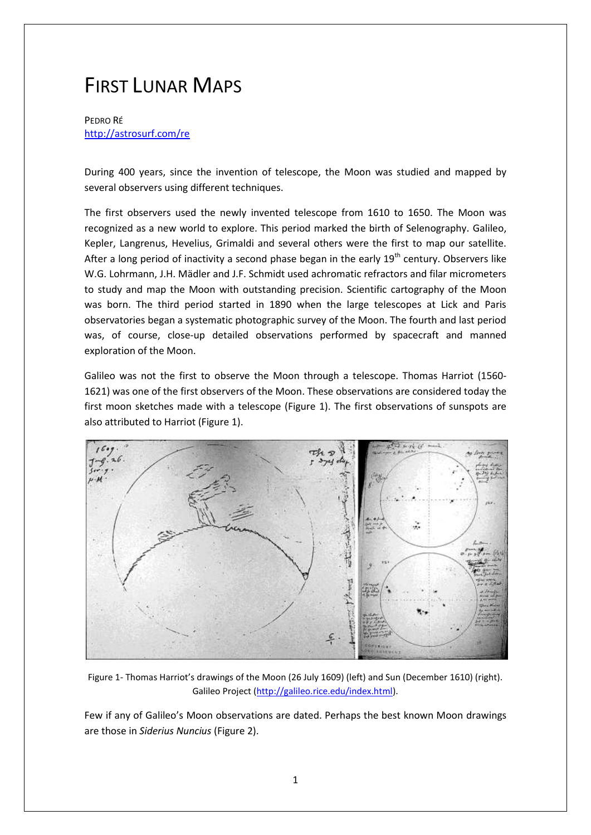## FIRST LUNAR MAPS

PEDRO RÉ <http://astrosurf.com/re>

During 400 years, since the invention of telescope, the Moon was studied and mapped by several observers using different techniques.

The first observers used the newly invented telescope from 1610 to 1650. The Moon was recognized as a new world to explore. This period marked the birth of Selenography. Galileo, Kepler, Langrenus, Hevelius, Grimaldi and several others were the first to map our satellite. After a long period of inactivity a second phase began in the early  $19<sup>th</sup>$  century. Observers like W.G. Lohrmann, J.H. Mädler and J.F. Schmidt used achromatic refractors and filar micrometers to study and map the Moon with outstanding precision. Scientific cartography of the Moon was born. The third period started in 1890 when the large telescopes at Lick and Paris observatories began a systematic photographic survey of the Moon. The fourth and last period was, of course, close-up detailed observations performed by spacecraft and manned exploration of the Moon.

Galileo was not the first to observe the Moon through a telescope. Thomas Harriot (1560- 1621) was one of the first observers of the Moon. These observations are considered today the first moon sketches made with a telescope (Figure 1). The first observations of sunspots are also attributed to Harriot (Figure 1).



Figure 1- Thomas Harriot's drawings of the Moon (26 July 1609) (left) and Sun (December 1610) (right). Galileo Project [\(http://galileo.rice.edu/index.html\)](http://galileo.rice.edu/index.html).

Few if any of Galileo's Moon observations are dated. Perhaps the best known Moon drawings are those in *Siderius Nuncius* (Figure 2).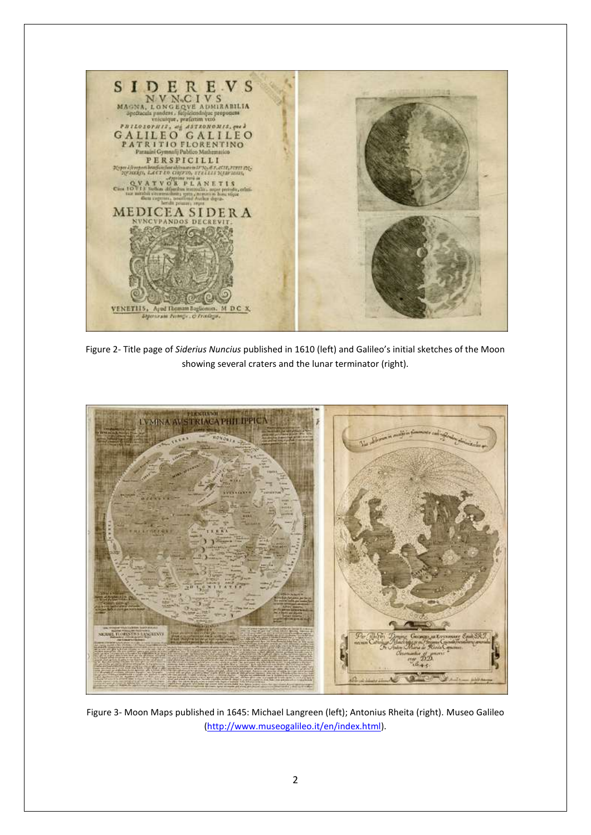

Figure 2- Title page of *Siderius Nuncius* published in 1610 (left) and Galileo's initial sketches of the Moon showing several craters and the lunar terminator (right).



Figure 3- Moon Maps published in 1645: Michael Langreen (left); Antonius Rheita (right). Museo Galileo [\(http://www.museogalileo.it/en/index.html\)](http://www.museogalileo.it/en/index.html).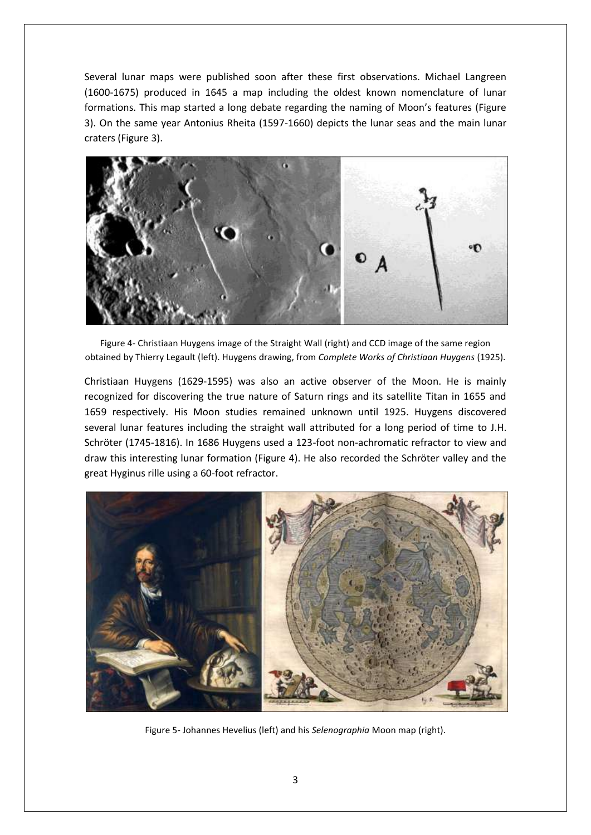Several lunar maps were published soon after these first observations. Michael Langreen (1600-1675) produced in 1645 a map including the oldest known nomenclature of lunar formations. This map started a long debate regarding the naming of Moon's features (Figure 3). On the same year Antonius Rheita (1597-1660) depicts the lunar seas and the main lunar craters (Figure 3).



Figure 4- Christiaan Huygens image of the Straight Wall (right) and CCD image of the same region obtained by Thierry Legault (left). Huygens drawing, from *Complete Works of Christiaan Huygens* (1925).

Christiaan Huygens (1629-1595) was also an active observer of the Moon. He is mainly recognized for discovering the true nature of Saturn rings and its satellite Titan in 1655 and 1659 respectively. His Moon studies remained unknown until 1925. Huygens discovered several lunar features including the straight wall attributed for a long period of time to J.H. Schröter (1745-1816). In 1686 Huygens used a 123-foot non-achromatic refractor to view and draw this interesting lunar formation (Figure 4). He also recorded the Schröter valley and the great Hyginus rille using a 60-foot refractor.



Figure 5- Johannes Hevelius (left) and his *Selenographia* Moon map (right).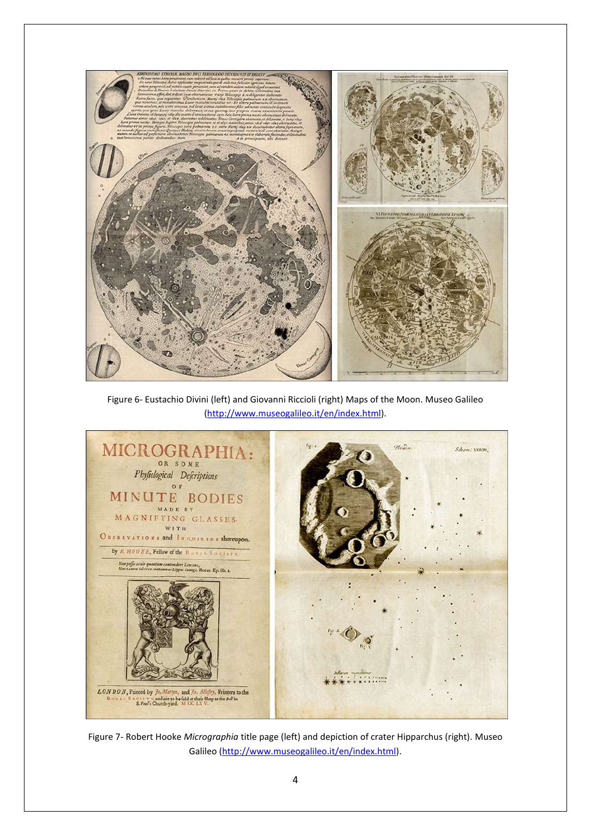

Figure 6- Eustachio Divini (left) and Giovanni Riccioli (right) Maps of the Moon. Museo Galileo [\(http://www.museogalileo.it/en/index.html\)](http://www.museogalileo.it/en/index.html).



Figure 7- Robert Hooke *Micrographia* title page (left) and depiction of crater Hipparchus (right). Museo Galileo [\(http://www.museogalileo.it/en/index.html\)](http://www.museogalileo.it/en/index.html).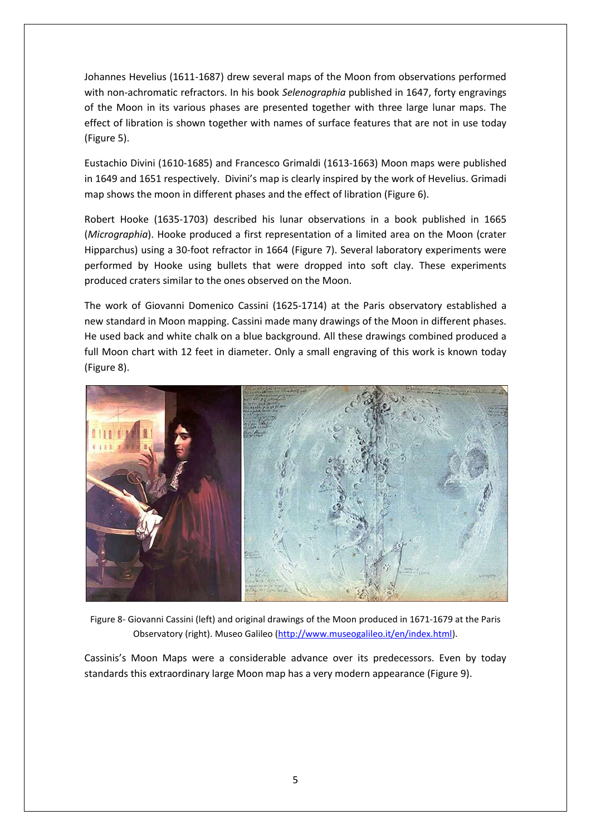Johannes Hevelius (1611-1687) drew several maps of the Moon from observations performed with non-achromatic refractors. In his book *Selenographia* published in 1647, forty engravings of the Moon in its various phases are presented together with three large lunar maps. The effect of libration is shown together with names of surface features that are not in use today (Figure 5).

Eustachio Divini (1610-1685) and Francesco Grimaldi (1613-1663) Moon maps were published in 1649 and 1651 respectively. Divini's map is clearly inspired by the work of Hevelius. Grimadi map shows the moon in different phases and the effect of libration (Figure 6).

Robert Hooke (1635-1703) described his lunar observations in a book published in 1665 (*Micrographia*). Hooke produced a first representation of a limited area on the Moon (crater Hipparchus) using a 30-foot refractor in 1664 (Figure 7). Several laboratory experiments were performed by Hooke using bullets that were dropped into soft clay. These experiments produced craters similar to the ones observed on the Moon.

The work of Giovanni Domenico Cassini (1625-1714) at the Paris observatory established a new standard in Moon mapping. Cassini made many drawings of the Moon in different phases. He used back and white chalk on a blue background. All these drawings combined produced a full Moon chart with 12 feet in diameter. Only a small engraving of this work is known today (Figure 8).



Figure 8- Giovanni Cassini (left) and original drawings of the Moon produced in 1671-1679 at the Paris Observatory (right). Museo Galileo [\(http://www.museogalileo.it/en/index.html\)](http://www.museogalileo.it/en/index.html).

Cassinis's Moon Maps were a considerable advance over its predecessors. Even by today standards this extraordinary large Moon map has a very modern appearance (Figure 9).